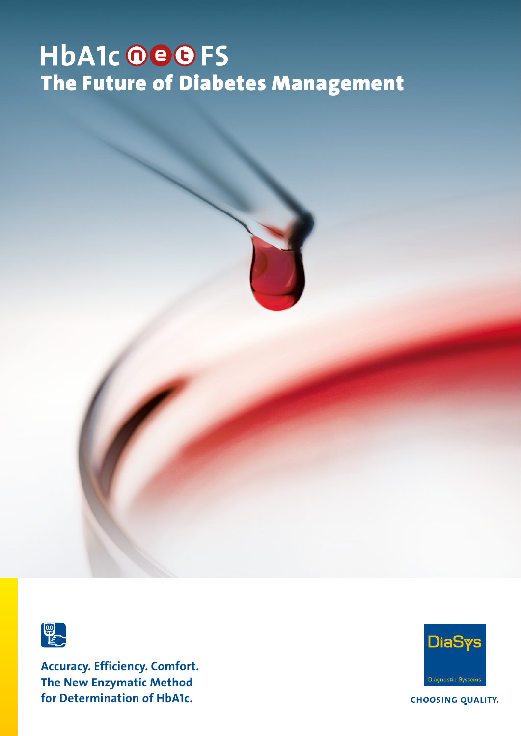# **HbA1c OBBFS** The Future of Diabetes Management



Accuracy. Efficiency. Comfort. The New Enzymatic Method for Determination of HbA1c.



**CHOOSING QUALITY.**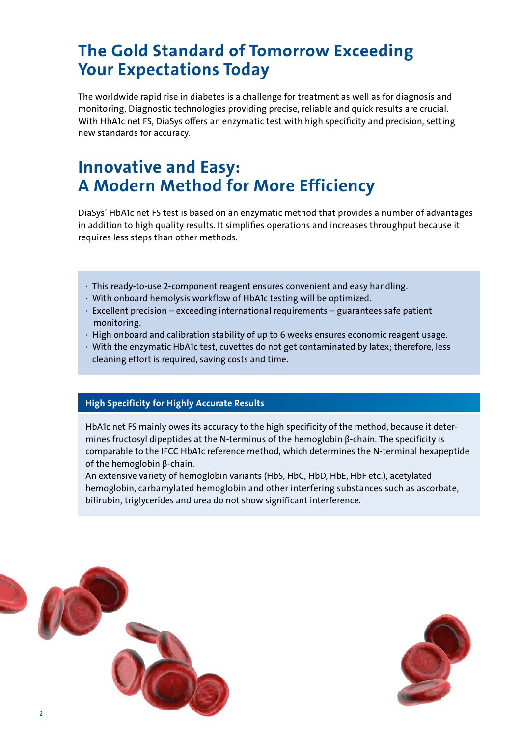### The Gold Standard of Tomorrow Exceeding Your Expectations Today

The worldwide rapid rise in diabetes is a challenge for treatment as well as for diagnosis and monitoring. Diagnostic technologies providing precise, reliable and quick results are crucial. With HbA1c net FS, DiaSys offers an enzymatic test with high specificity and precision, setting new standards for accuracy.

### Innovative and Easy: A Modern Method for More Efficiency

DiaSys' HbA1c net FS test is based on an enzymatic method that provides a number of advantages in addition to high quality results. It simplifies operations and increases throughput because it requires less steps than other methods.

- · This ready-to-use 2-component reagent ensures convenient and easy handling.
- · With onboard hemolysis workflow of HbA1c testing will be optimized.
- · Excellent precision exceeding international requirements guarantees safe patient monitoring.
- · High onboard and calibration stability of up to 6 weeks ensures economic reagent usage.
- · With the enzymatic HbA1c test, cuvettes do not get contaminated by latex; therefore, less cleaning effort is required, saving costs and time.

#### High Specificity for Highly Accurate Results

HbA1c net FS mainly owes its accuracy to the high specificity of the method, because it determines fructosyl dipeptides at the N-terminus of the hemoglobin β-chain. The specificity is comparable to the IFCC HbA1c reference method, which determines the N-terminal hexapeptide of the hemoglobin β-chain.

An extensive variety of hemoglobin variants (HbS, HbC, HbD, HbE, HbF etc.), acetylated hemoglobin, carbamylated hemoglobin and other interfering substances such as ascorbate, bilirubin, triglycerides and urea do not show significant interference.



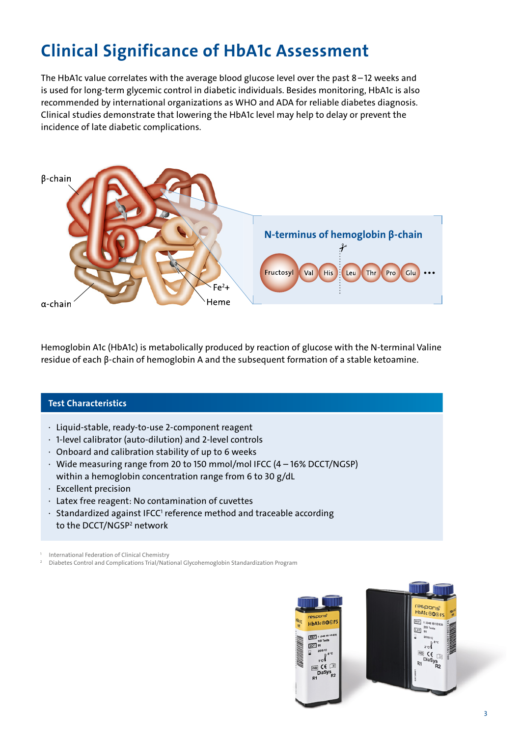# Clinical Significance of HbA1c Assessment

The HbA1c value correlates with the average blood glucose level over the past 8 – 12 weeks and is used for long-term glycemic control in diabetic individuals. Besides monitoring, HbA1c is also recommended by international organizations as WHO and ADA for reliable diabetes diagnosis. Clinical studies demonstrate that lowering the HbA1c level may help to delay or prevent the incidence of late diabetic complications.



Hemoglobin A1c (HbA1c) is metabolically produced by reaction of glucose with the N-terminal Valine residue of each β-chain of hemoglobin A and the subsequent formation of a stable ketoamine.

#### Test Characteristics

- ∙ Liquid-stable, ready-to-use 2-component reagent
- ∙ 1-level calibrator (auto-dilution) and 2-level controls
- ∙ Onboard and calibration stability of up to 6 weeks
- ∙ Wide measuring range from 20 to 150 mmol/mol IFCC (4 16% DCCT/NGSP) within a hemoglobin concentration range from 6 to 30 g/dL
- ∙ Excellent precision
- ∙ Latex free reagent: No contamination of cuvettes
- ∙ Standardized against IFCC<sup>1</sup> reference method and traceable according to the DCCT/NGSP<del>'</del> network

International Federation of Clinical Chemistry

2 Diabetes Control and Complications Trial/National Glycohemoglobin Standardization Program

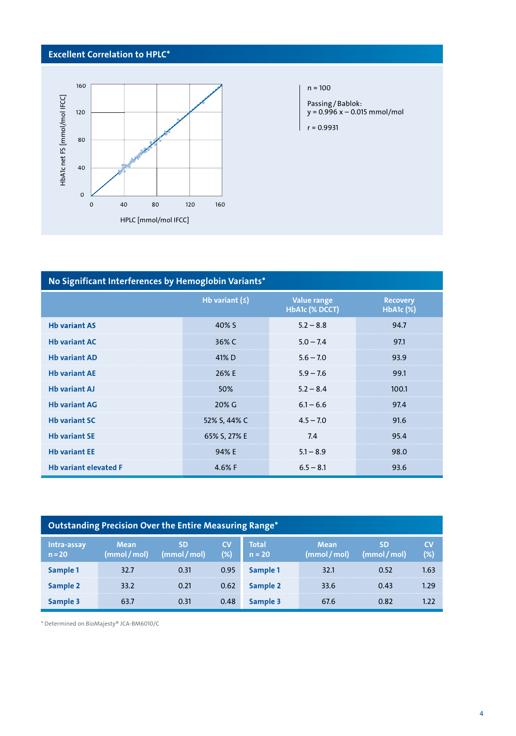#### Excellent Correlation to HPLC\*



| No Significant Interferences by Hemoglobin Variants* |                |                                      |                                   |  |  |  |  |  |
|------------------------------------------------------|----------------|--------------------------------------|-----------------------------------|--|--|--|--|--|
|                                                      | Hb variant $($ | <b>Value range</b><br>HbA1c (% DCCT) | <b>Recovery</b><br>$HbA1c$ $(\%)$ |  |  |  |  |  |
| <b>Hb variant AS</b>                                 | 40% S          | $5.2 - 8.8$                          | 94.7                              |  |  |  |  |  |
| <b>Hb variant AC</b>                                 | 36% C          | $5.0 - 7.4$                          | 97.1                              |  |  |  |  |  |
| <b>Hb variant AD</b>                                 | 41% D          | $5.6 - 7.0$                          | 93.9                              |  |  |  |  |  |
| <b>Hb variant AE</b>                                 | 26% E          | $5.9 - 7.6$                          | 99.1                              |  |  |  |  |  |
| <b>Hb variant AJ</b>                                 | 50%            | $5.2 - 8.4$                          | 100.1                             |  |  |  |  |  |
| <b>Hb variant AG</b>                                 | 20% G          | $6.1 - 6.6$                          | 97.4                              |  |  |  |  |  |
| <b>Hb variant SC</b>                                 | 52% S, 44% C   | $4.5 - 7.0$                          | 91.6                              |  |  |  |  |  |
| <b>Hb variant SE</b>                                 | 65% S, 27% E   | 7.4                                  | 95.4                              |  |  |  |  |  |
| <b>Hb variant EE</b>                                 | 94% E          | $5.1 - 8.9$                          | 98.0                              |  |  |  |  |  |
| <b>Hb variant elevated F</b>                         | 4.6% $F$       | $6.5 - 8.1$                          | 93.6                              |  |  |  |  |  |

| Outstanding Precision Over the Entire Measuring Range* |                           |                    |                  |                          |                             |                         |              |  |
|--------------------------------------------------------|---------------------------|--------------------|------------------|--------------------------|-----------------------------|-------------------------|--------------|--|
| Intra-assay<br>$n = 20$                                | <b>Mean</b><br>(mmol/mol) | SD<br>(mmol / mol) | <b>CV</b><br>(%) | <b>Total</b><br>$n = 20$ | <b>Mean</b><br>(mmol / mol) | <b>SD</b><br>(mmol/mol) | CV<br>$(\%)$ |  |
| Sample 1                                               | 32.7                      | 0.31               | 0.95             | Sample 1                 | 32.1                        | 0.52                    | 1.63         |  |
| Sample 2                                               | 33.2                      | 0.21               | 0.62             | Sample 2                 | 33.6                        | 0.43                    | 1.29         |  |
| Sample 3                                               | 63.7                      | 0.31               | 0.48             | Sample 3                 | 67.6                        | 0.82                    |              |  |

\* Determined on BioMajesty® JCA-BM6010/C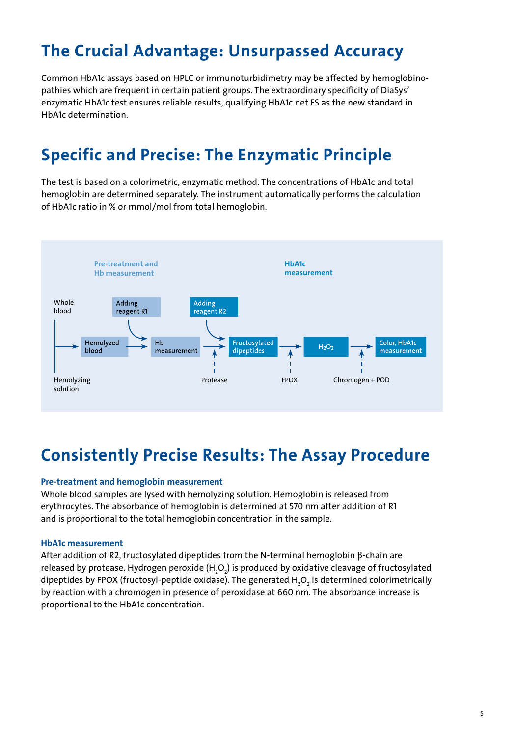# The Crucial Advantage: Unsurpassed Accuracy

Common HbA1c assays based on HPLC or immunoturbidimetry may be affected by hemoglobinopathies which are frequent in certain patient groups. The extraordinary specificity of DiaSys' enzymatic HbA1c test ensures reliable results, qualifying HbA1c net FS as the new standard in HbA1c determination.

# Specific and Precise: The Enzymatic Principle

The test is based on a colorimetric, enzymatic method. The concentrations of HbA1c and total hemoglobin are determined separately. The instrument automatically performs the calculation of HbA1c ratio in % or mmol/mol from total hemoglobin.



### Consistently Precise Results: The Assay Procedure

#### Pre-treatment and hemoglobin measurement

Whole blood samples are lysed with hemolyzing solution. Hemoglobin is released from erythrocytes. The absorbance of hemoglobin is determined at 570 nm after addition of R1 and is proportional to the total hemoglobin concentration in the sample.

#### HbA1c measurement

After addition of R2, fructosylated dipeptides from the N-terminal hemoglobin β-chain are released by protease. Hydrogen peroxide (H<sub>2</sub>O<sub>2</sub>) is produced by oxidative cleavage of fructosylated dipeptides by FPOX (fructosyl-peptide oxidase). The generated H<sub>2</sub>O<sub>2</sub> is determined colorimetrically by reaction with a chromogen in presence of peroxidase at 660 nm. The absorbance increase is proportional to the HbA1c concentration.